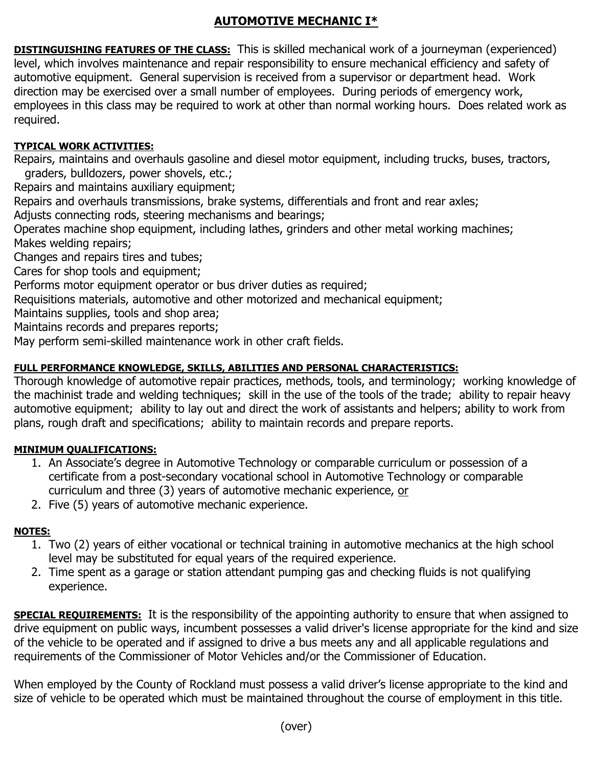# **AUTOMOTIVE MECHANIC I\***

**DISTINGUISHING FEATURES OF THE CLASS:** This is skilled mechanical work of a journeyman (experienced) level, which involves maintenance and repair responsibility to ensure mechanical efficiency and safety of automotive equipment. General supervision is received from a supervisor or department head. Work direction may be exercised over a small number of employees. During periods of emergency work, employees in this class may be required to work at other than normal working hours. Does related work as required.

### **TYPICAL WORK ACTIVITIES:**

Repairs, maintains and overhauls gasoline and diesel motor equipment, including trucks, buses, tractors, graders, bulldozers, power shovels, etc.;

Repairs and maintains auxiliary equipment;

Repairs and overhauls transmissions, brake systems, differentials and front and rear axles; Adjusts connecting rods, steering mechanisms and bearings;

Operates machine shop equipment, including lathes, grinders and other metal working machines; Makes welding repairs;

Changes and repairs tires and tubes;

Cares for shop tools and equipment;

Performs motor equipment operator or bus driver duties as required;

Requisitions materials, automotive and other motorized and mechanical equipment;

Maintains supplies, tools and shop area;

Maintains records and prepares reports;

May perform semi-skilled maintenance work in other craft fields.

### **FULL PERFORMANCE KNOWLEDGE, SKILLS, ABILITIES AND PERSONAL CHARACTERISTICS:**

Thorough knowledge of automotive repair practices, methods, tools, and terminology; working knowledge of the machinist trade and welding techniques; skill in the use of the tools of the trade; ability to repair heavy automotive equipment; ability to lay out and direct the work of assistants and helpers; ability to work from plans, rough draft and specifications; ability to maintain records and prepare reports.

#### **MINIMUM QUALIFICATIONS:**

- 1. An Associate's degree in Automotive Technology or comparable curriculum or possession of a certificate from a post-secondary vocational school in Automotive Technology or comparable curriculum and three (3) years of automotive mechanic experience, or
- 2. Five (5) years of automotive mechanic experience.

## **NOTES:**

- 1. Two (2) years of either vocational or technical training in automotive mechanics at the high school level may be substituted for equal years of the required experience.
- 2. Time spent as a garage or station attendant pumping gas and checking fluids is not qualifying experience.

**SPECIAL REQUIREMENTS:** It is the responsibility of the appointing authority to ensure that when assigned to drive equipment on public ways, incumbent possesses a valid driver's license appropriate for the kind and size of the vehicle to be operated and if assigned to drive a bus meets any and all applicable regulations and requirements of the Commissioner of Motor Vehicles and/or the Commissioner of Education.

When employed by the County of Rockland must possess a valid driver's license appropriate to the kind and size of vehicle to be operated which must be maintained throughout the course of employment in this title.